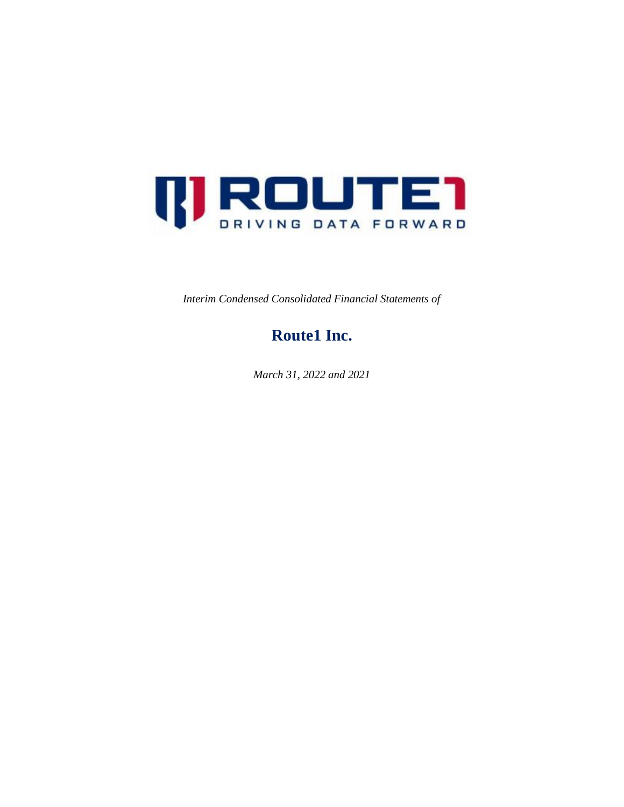

*Interim Condensed Consolidated Financial Statements of*

## **Route1 Inc.**

*March 31, 2022 and 2021*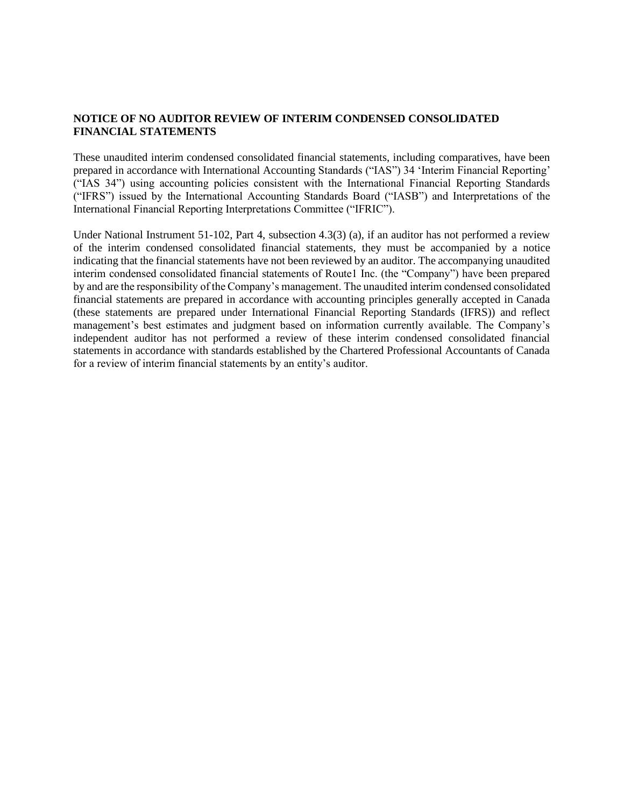#### **NOTICE OF NO AUDITOR REVIEW OF INTERIM CONDENSED CONSOLIDATED FINANCIAL STATEMENTS**

These unaudited interim condensed consolidated financial statements, including comparatives, have been prepared in accordance with International Accounting Standards ("IAS") 34 'Interim Financial Reporting' ("IAS 34") using accounting policies consistent with the International Financial Reporting Standards ("IFRS") issued by the International Accounting Standards Board ("IASB") and Interpretations of the International Financial Reporting Interpretations Committee ("IFRIC").

Under National Instrument 51-102, Part 4, subsection 4.3(3) (a), if an auditor has not performed a review of the interim condensed consolidated financial statements, they must be accompanied by a notice indicating that the financial statements have not been reviewed by an auditor. The accompanying unaudited interim condensed consolidated financial statements of Route1 Inc. (the "Company") have been prepared by and are the responsibility of the Company's management. The unaudited interim condensed consolidated financial statements are prepared in accordance with accounting principles generally accepted in Canada (these statements are prepared under International Financial Reporting Standards (IFRS)) and reflect management's best estimates and judgment based on information currently available. The Company's independent auditor has not performed a review of these interim condensed consolidated financial statements in accordance with standards established by the Chartered Professional Accountants of Canada for a review of interim financial statements by an entity's auditor.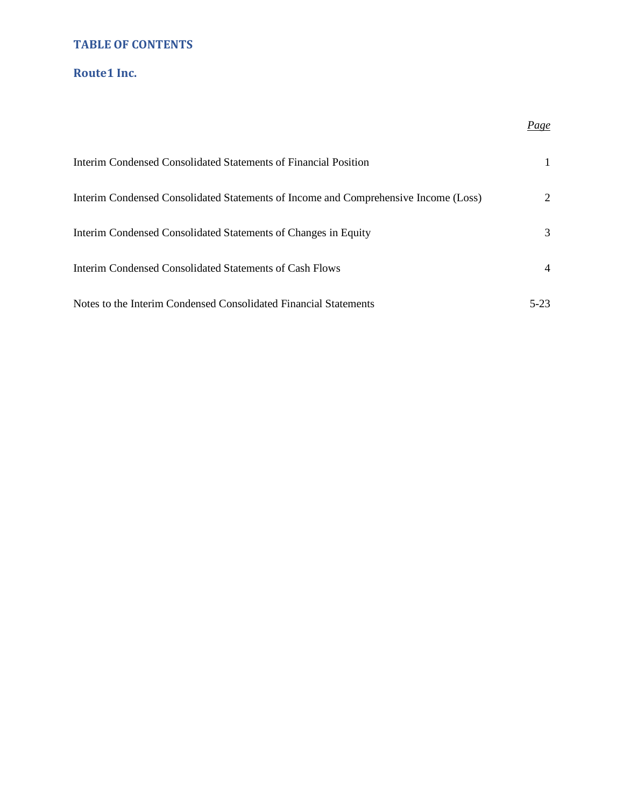## **TABLE OF CONTENTS**

## **Route1 Inc.**

# Interim Condensed Consolidated Statements of Financial Position 1 Interim Condensed Consolidated Statements of Income and Comprehensive Income (Loss) 2 Interim Condensed Consolidated Statements of Changes in Equity 3 Interim Condensed Consolidated Statements of Cash Flows 4 Notes to the Interim Condensed Consolidated Financial Statements 5-23

*Page*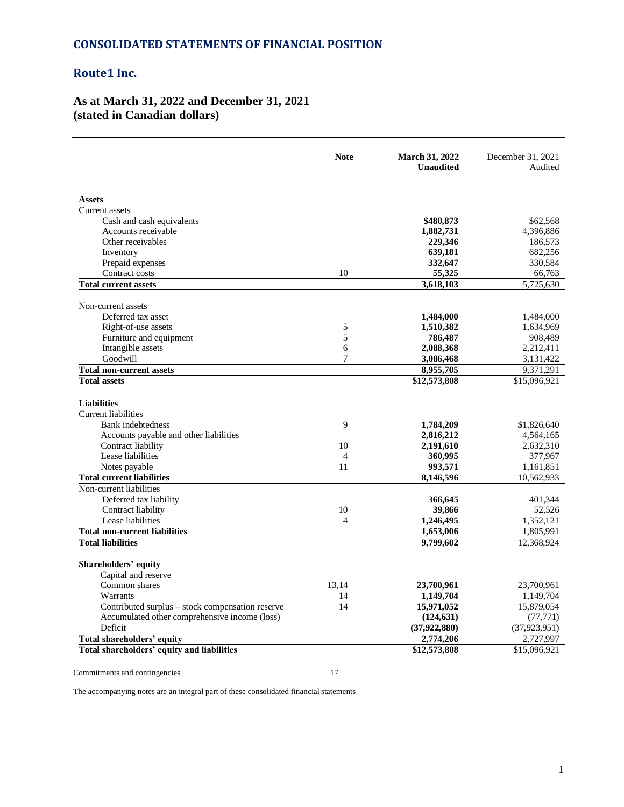#### **CONSOLIDATED STATEMENTS OF FINANCIAL POSITION**

## **Route1 Inc.**

## **As at March 31, 2022 and December 31, 2021 (stated in Canadian dollars)**

|                                                  | <b>Note</b>    | <b>March 31, 2022</b><br><b>Unaudited</b> | December 31, 2021<br>Audited |
|--------------------------------------------------|----------------|-------------------------------------------|------------------------------|
| <b>Assets</b>                                    |                |                                           |                              |
| Current assets                                   |                |                                           |                              |
| Cash and cash equivalents                        |                | \$480,873                                 | \$62,568                     |
| Accounts receivable                              |                | 1,882,731                                 | 4,396,886                    |
| Other receivables                                |                | 229,346                                   | 186,573                      |
| Inventory                                        |                | 639,181                                   | 682,256                      |
| Prepaid expenses                                 |                | 332,647                                   | 330,584                      |
| Contract costs                                   | 10             | 55,325                                    | 66,763                       |
| <b>Total current assets</b>                      |                | 3,618,103                                 | 5,725,630                    |
| Non-current assets                               |                |                                           |                              |
| Deferred tax asset                               |                | 1,484,000                                 | 1,484,000                    |
| Right-of-use assets                              | 5              | 1,510,382                                 | 1,634,969                    |
| Furniture and equipment                          | 5              | 786,487                                   | 908,489                      |
| Intangible assets                                | 6              | 2,088,368                                 | 2,212,411                    |
| Goodwill                                         | $\tau$         | 3,086,468                                 | 3,131,422                    |
| <b>Total non-current assets</b>                  |                | 8,955,705                                 | 9,371,291                    |
| <b>Total assets</b>                              |                | \$12,573,808                              | \$15,096,921                 |
| <b>Liabilities</b><br><b>Current liabilities</b> |                |                                           |                              |
| <b>Bank</b> indebtedness                         | 9              | 1,784,209                                 | \$1,826,640                  |
| Accounts payable and other liabilities           |                | 2,816,212                                 | 4,564,165                    |
| Contract liability                               | 10             | 2,191,610                                 | 2,632,310                    |
| Lease liabilities                                | $\overline{4}$ | 360,995                                   | 377,967                      |
| Notes payable                                    | 11             | 993,571                                   | 1,161,851                    |
| <b>Total current liabilities</b>                 |                | 8,146,596                                 | 10,562,933                   |
| Non-current liabilities                          |                |                                           |                              |
| Deferred tax liability                           |                | 366,645                                   | 401,344                      |
| Contract liability                               | 10             | 39,866                                    | 52,526                       |
| Lease liabilities                                | $\overline{4}$ | 1,246,495                                 | 1,352,121                    |
| <b>Total non-current liabilities</b>             |                | 1,653,006                                 | 1,805,991                    |
| <b>Total liabilities</b>                         |                | 9,799,602                                 | 12,368,924                   |
| Shareholders' equity                             |                |                                           |                              |
| Capital and reserve                              |                |                                           |                              |
| Common shares                                    | 13,14          | 23,700,961                                | 23,700,961                   |
| Warrants                                         | 14             | 1,149,704                                 | 1,149,704                    |
| Contributed surplus – stock compensation reserve | 14             | 15,971,052                                | 15,879,054                   |
| Accumulated other comprehensive income (loss)    |                | (124, 631)                                | (77, 771)                    |
| Deficit                                          |                | (37, 922, 880)                            | (37, 923, 951)               |
| Total shareholders' equity                       |                | 2,774,206                                 | 2,727,997                    |
| Total shareholders' equity and liabilities       |                | \$12,573,808                              | \$15,096,921                 |

Commitments and contingencies 17

The accompanying notes are an integral part of these consolidated financial statements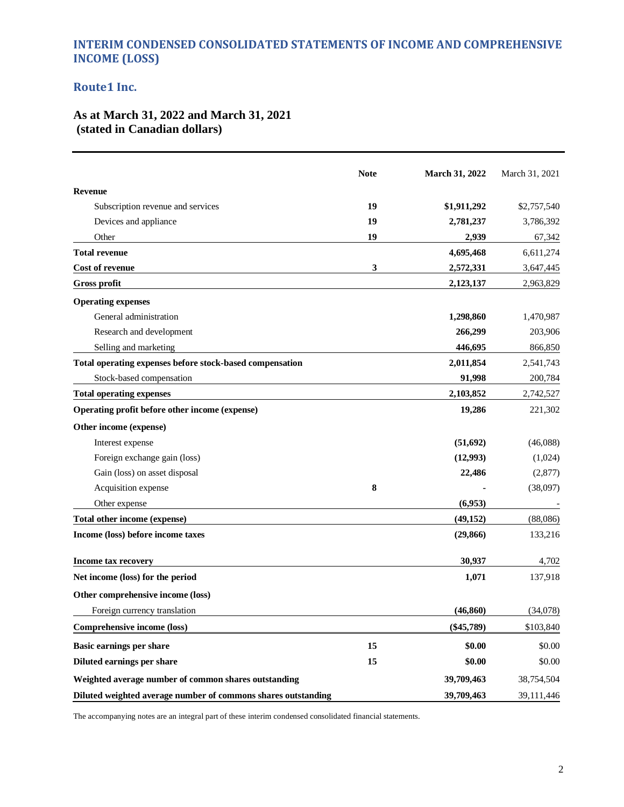## **INTERIM CONDENSED CONSOLIDATED STATEMENTS OF INCOME AND COMPREHENSIVE INCOME (LOSS)**

## **Route1 Inc.**

## **As at March 31, 2022 and March 31, 2021 (stated in Canadian dollars)**

|                                                               | <b>Note</b> | <b>March 31, 2022</b> | March 31, 2021 |
|---------------------------------------------------------------|-------------|-----------------------|----------------|
| <b>Revenue</b>                                                |             |                       |                |
| Subscription revenue and services                             | 19          | \$1,911,292           | \$2,757,540    |
| Devices and appliance                                         | 19          | 2,781,237             | 3,786,392      |
| Other                                                         | 19          | 2,939                 | 67,342         |
| <b>Total revenue</b>                                          |             | 4,695,468             | 6,611,274      |
| Cost of revenue                                               | 3           | 2,572,331             | 3,647,445      |
| Gross profit                                                  |             | 2,123,137             | 2,963,829      |
| <b>Operating expenses</b>                                     |             |                       |                |
| General administration                                        |             | 1,298,860             | 1,470,987      |
| Research and development                                      |             | 266,299               | 203,906        |
| Selling and marketing                                         |             | 446,695               | 866,850        |
| Total operating expenses before stock-based compensation      |             | 2,011,854             | 2,541,743      |
| Stock-based compensation                                      |             | 91,998                | 200,784        |
| <b>Total operating expenses</b>                               |             | 2,103,852             | 2,742,527      |
| Operating profit before other income (expense)                |             | 19,286                | 221,302        |
| Other income (expense)                                        |             |                       |                |
| Interest expense                                              |             | (51,692)              | (46,088)       |
| Foreign exchange gain (loss)                                  |             | (12,993)              | (1,024)        |
| Gain (loss) on asset disposal                                 |             | 22,486                | (2,877)        |
| Acquisition expense                                           | 8           |                       | (38,097)       |
| Other expense                                                 |             | (6,953)               |                |
| Total other income (expense)                                  |             | (49, 152)             | (88,086)       |
| Income (loss) before income taxes                             |             | (29, 866)             | 133,216        |
| <b>Income tax recovery</b>                                    |             | 30,937                | 4,702          |
| Net income (loss) for the period                              |             | 1,071                 | 137,918        |
| Other comprehensive income (loss)                             |             |                       |                |
| Foreign currency translation                                  |             | (46, 860)             | (34,078)       |
| Comprehensive income (loss)                                   |             | $(\$45,789)$          | \$103,840      |
| <b>Basic earnings per share</b>                               | 15          | \$0.00                | \$0.00         |
| Diluted earnings per share                                    | 15          | \$0.00                | \$0.00         |
| Weighted average number of common shares outstanding          |             | 39,709,463            | 38,754,504     |
| Diluted weighted average number of commons shares outstanding |             | 39,709,463            | 39,111,446     |

The accompanying notes are an integral part of these interim condensed consolidated financial statements.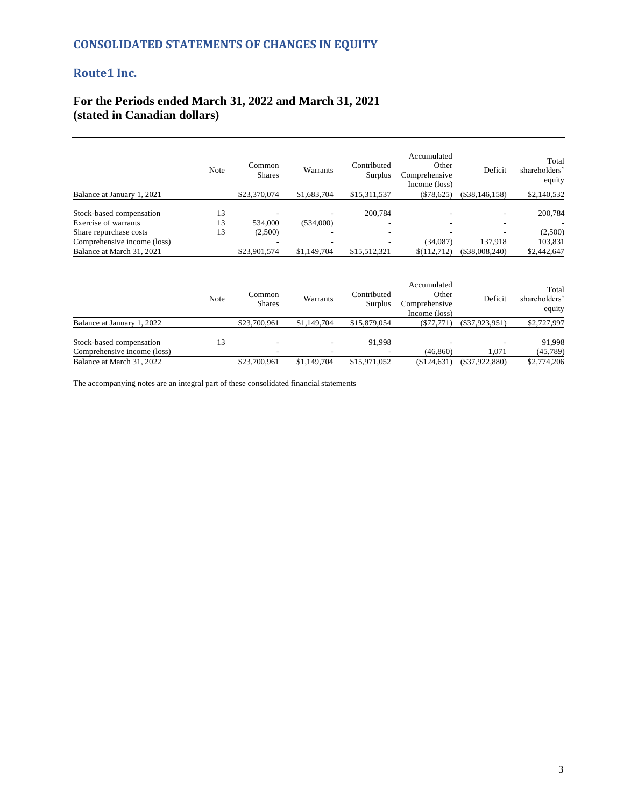## **CONSOLIDATED STATEMENTS OF CHANGES IN EQUITY**

## **Route1 Inc.**

## **For the Periods ended March 31, 2022 and March 31, 2021 (stated in Canadian dollars)**

|                                                                                                           | Note           | Common<br><b>Shares</b> | Warrants            | Contributed<br>Surplus | Accumulated<br>Other<br>Comprehensive<br>Income (loss) | Deficit                                  | Total<br>shareholders'<br>equity |
|-----------------------------------------------------------------------------------------------------------|----------------|-------------------------|---------------------|------------------------|--------------------------------------------------------|------------------------------------------|----------------------------------|
| Balance at January 1, 2021                                                                                |                | \$23,370,074            | \$1,683,704         | \$15,311,537           | $(\$78,625)$                                           | $(\$38,146,158)$                         | \$2,140,532                      |
| Stock-based compensation<br>Exercise of warrants<br>Share repurchase costs<br>Comprehensive income (loss) | 13<br>13<br>13 | 534,000<br>(2,500)      | (534,000)<br>-<br>۰ | 200,784                | $\overline{\phantom{a}}$<br>(34,087)                   | ۰<br>$\overline{\phantom{a}}$<br>137,918 | 200,784<br>(2,500)<br>103,831    |
| Balance at March 31, 2021                                                                                 |                | \$23,901,574            | \$1,149,704         | \$15.512.321           | \$(112,712)                                            | $(\$38,008,240)$                         | \$2,442,647                      |

|                                                         | Note | Common<br><b>Shares</b> | Warrants                      | Contributed<br>Surplus | Accumulated<br>Other<br>Comprehensive<br>Income (loss) | Deficit          | Total<br>shareholders'<br>equity |
|---------------------------------------------------------|------|-------------------------|-------------------------------|------------------------|--------------------------------------------------------|------------------|----------------------------------|
| Balance at January 1, 2022                              |      | \$23,700,961            | \$1,149,704                   | \$15,879,054           | (S77,771)                                              | $(\$37,923,951)$ | \$2,727,997                      |
| Stock-based compensation<br>Comprehensive income (loss) | 13   | -                       | ۰<br>$\overline{\phantom{0}}$ | 91.998                 | (46, 860)                                              | 1.071            | 91.998<br>(45,789)               |
| Balance at March 31, 2022                               |      | \$23,700,961            | \$1,149,704                   | \$15,971,052           | (\$124,631)                                            | $(\$37,922,880)$ | \$2,774,206                      |

The accompanying notes are an integral part of these consolidated financial statements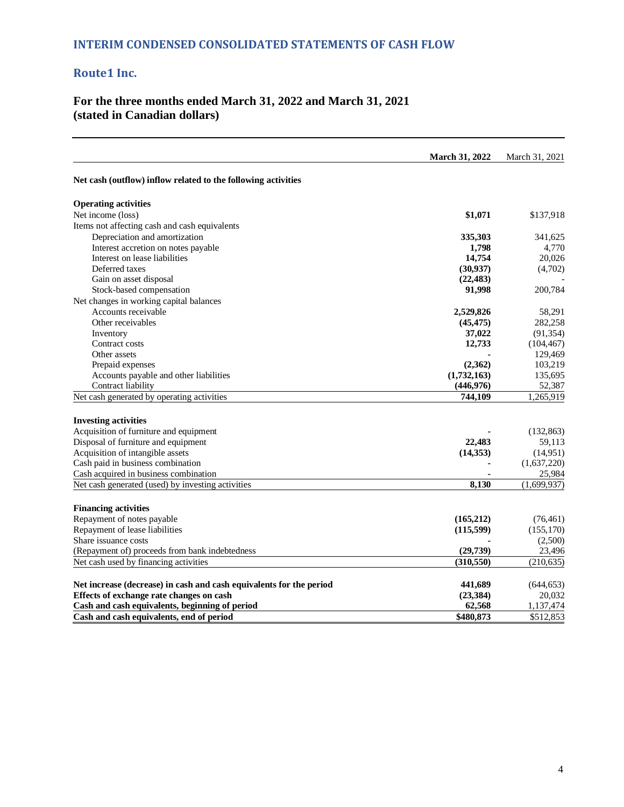## **For the three months ended March 31, 2022 and March 31, 2021 (stated in Canadian dollars)**

|                                                                                                                 | <b>March 31, 2022</b> | March 31, 2021       |
|-----------------------------------------------------------------------------------------------------------------|-----------------------|----------------------|
| Net cash (outflow) inflow related to the following activities                                                   |                       |                      |
| <b>Operating activities</b>                                                                                     |                       |                      |
| Net income (loss)                                                                                               | \$1,071               | \$137,918            |
| Items not affecting cash and cash equivalents                                                                   |                       |                      |
| Depreciation and amortization                                                                                   | 335,303               | 341,625              |
| Interest accretion on notes payable                                                                             | 1,798                 | 4,770                |
| Interest on lease liabilities                                                                                   | 14,754                | 20,026               |
| Deferred taxes                                                                                                  | (30, 937)             | (4,702)              |
| Gain on asset disposal                                                                                          | (22, 483)             |                      |
| Stock-based compensation                                                                                        | 91,998                | 200,784              |
| Net changes in working capital balances                                                                         |                       |                      |
| Accounts receivable                                                                                             | 2,529,826             | 58,291               |
| Other receivables                                                                                               | (45, 475)             | 282,258              |
| Inventory                                                                                                       | 37,022                | (91, 354)            |
| Contract costs                                                                                                  | 12,733                | (104, 467)           |
| Other assets                                                                                                    |                       | 129,469              |
| Prepaid expenses                                                                                                | (2,362)               | 103,219              |
| Accounts payable and other liabilities                                                                          | (1,732,163)           | 135,695              |
| Contract liability                                                                                              | (446, 976)            | 52,387               |
| Net cash generated by operating activities                                                                      | 744,109               | 1,265,919            |
| <b>Investing activities</b>                                                                                     |                       |                      |
| Acquisition of furniture and equipment                                                                          |                       | (132, 863)           |
| Disposal of furniture and equipment                                                                             | 22,483                | 59,113               |
| Acquisition of intangible assets                                                                                | (14, 353)             | (14,951)             |
| Cash paid in business combination                                                                               |                       | (1,637,220)          |
| Cash acquired in business combination                                                                           |                       | 25,984               |
| Net cash generated (used) by investing activities                                                               | 8,130                 | (1,699,937)          |
| <b>Financing activities</b>                                                                                     |                       |                      |
| Repayment of notes payable                                                                                      | (165,212)             | (76, 461)            |
| Repayment of lease liabilities                                                                                  | (115, 599)            | (155, 170)           |
| Share issuance costs                                                                                            |                       | (2,500)              |
| (Repayment of) proceeds from bank indebtedness                                                                  | (29, 739)             | 23,496               |
| Net cash used by financing activities                                                                           | (310, 550)            | (210, 635)           |
|                                                                                                                 |                       |                      |
|                                                                                                                 |                       |                      |
| Net increase (decrease) in cash and cash equivalents for the period<br>Effects of exchange rate changes on cash | 441,689<br>(23, 384)  | (644, 653)<br>20,032 |
| Cash and cash equivalents, beginning of period                                                                  | 62,568                | 1,137,474            |
| Cash and cash equivalents, end of period                                                                        | \$480,873             | \$512,853            |
|                                                                                                                 |                       |                      |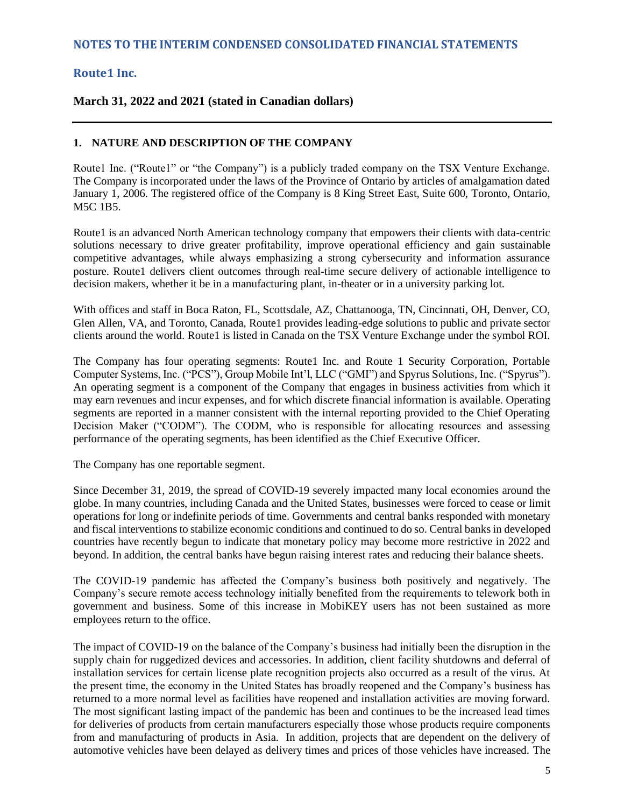## **March 31, 2022 and 2021 (stated in Canadian dollars)**

#### **1. NATURE AND DESCRIPTION OF THE COMPANY**

Route1 Inc. ("Route1" or "the Company") is a publicly traded company on the TSX Venture Exchange. The Company is incorporated under the laws of the Province of Ontario by articles of amalgamation dated January 1, 2006. The registered office of the Company is 8 King Street East, Suite 600, Toronto, Ontario, M5C 1B5.

Route1 is an advanced North American technology company that empowers their clients with data-centric solutions necessary to drive greater profitability, improve operational efficiency and gain sustainable competitive advantages, while always emphasizing a strong cybersecurity and information assurance posture. Route1 delivers client outcomes through real-time secure delivery of actionable intelligence to decision makers, whether it be in a manufacturing plant, in-theater or in a university parking lot.

With offices and staff in Boca Raton, FL, Scottsdale, AZ, Chattanooga, TN, Cincinnati, OH, Denver, CO, Glen Allen, VA, and Toronto, Canada, Route1 provides leading-edge solutions to public and private sector clients around the world. Route1 is listed in Canada on the TSX Venture Exchange under the symbol ROI.

The Company has four operating segments: Route1 Inc. and Route 1 Security Corporation, Portable Computer Systems, Inc. ("PCS"), Group Mobile Int'l, LLC ("GMI") and Spyrus Solutions, Inc. ("Spyrus"). An operating segment is a component of the Company that engages in business activities from which it may earn revenues and incur expenses, and for which discrete financial information is available. Operating segments are reported in a manner consistent with the internal reporting provided to the Chief Operating Decision Maker ("CODM"). The CODM, who is responsible for allocating resources and assessing performance of the operating segments, has been identified as the Chief Executive Officer.

The Company has one reportable segment.

Since December 31, 2019, the spread of COVID-19 severely impacted many local economies around the globe. In many countries, including Canada and the United States, businesses were forced to cease or limit operations for long or indefinite periods of time. Governments and central banks responded with monetary and fiscal interventions to stabilize economic conditions and continued to do so. Central banks in developed countries have recently begun to indicate that monetary policy may become more restrictive in 2022 and beyond. In addition, the central banks have begun raising interest rates and reducing their balance sheets.

The COVID-19 pandemic has affected the Company's business both positively and negatively. The Company's secure remote access technology initially benefited from the requirements to telework both in government and business. Some of this increase in MobiKEY users has not been sustained as more employees return to the office.

The impact of COVID-19 on the balance of the Company's business had initially been the disruption in the supply chain for ruggedized devices and accessories. In addition, client facility shutdowns and deferral of installation services for certain license plate recognition projects also occurred as a result of the virus. At the present time, the economy in the United States has broadly reopened and the Company's business has returned to a more normal level as facilities have reopened and installation activities are moving forward. The most significant lasting impact of the pandemic has been and continues to be the increased lead times for deliveries of products from certain manufacturers especially those whose products require components from and manufacturing of products in Asia. In addition, projects that are dependent on the delivery of automotive vehicles have been delayed as delivery times and prices of those vehicles have increased. The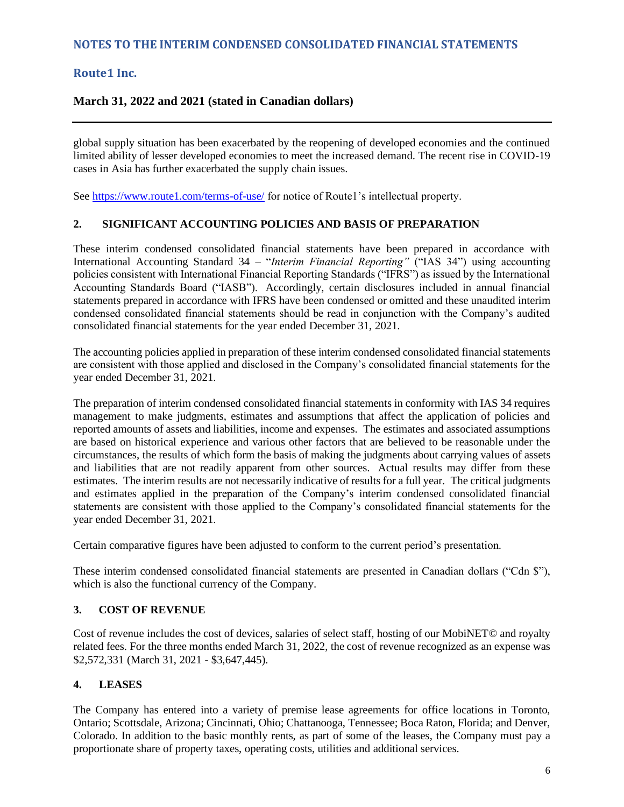## **March 31, 2022 and 2021 (stated in Canadian dollars)**

global supply situation has been exacerbated by the reopening of developed economies and the continued limited ability of lesser developed economies to meet the increased demand. The recent rise in COVID-19 cases in Asia has further exacerbated the supply chain issues.

See [https://www.route1.com/terms-of-use/](https://can01.safelinks.protection.outlook.com/?url=https%3A%2F%2Fprotect-eu.mimecast.com%2Fs%2FuKJmCqxps7YY0KIZqMlx%3Fdomain%3Droute1.com&data=02%7C01%7CMark.Irwin%40ca.gt.com%7Cb15806924f38470c4e7208d7e60051ff%7C296ae2296f104f4aa0d6f390ed73d8e3%7C0%7C0%7C637230761361130846&sdata=ZXF1cL801vmdawBF8pkncfkf19w4Re1KxRPZY5RTocc%3D&reserved=0) for notice of Route1's intellectual property.

#### **2. SIGNIFICANT ACCOUNTING POLICIES AND BASIS OF PREPARATION**

These interim condensed consolidated financial statements have been prepared in accordance with International Accounting Standard 34 – "*Interim Financial Reporting"* ("IAS 34") using accounting policies consistent with International Financial Reporting Standards ("IFRS") as issued by the International Accounting Standards Board ("IASB"). Accordingly, certain disclosures included in annual financial statements prepared in accordance with IFRS have been condensed or omitted and these unaudited interim condensed consolidated financial statements should be read in conjunction with the Company's audited consolidated financial statements for the year ended December 31, 2021.

The accounting policies applied in preparation of these interim condensed consolidated financial statements are consistent with those applied and disclosed in the Company's consolidated financial statements for the year ended December 31, 2021.

The preparation of interim condensed consolidated financial statements in conformity with IAS 34 requires management to make judgments, estimates and assumptions that affect the application of policies and reported amounts of assets and liabilities, income and expenses. The estimates and associated assumptions are based on historical experience and various other factors that are believed to be reasonable under the circumstances, the results of which form the basis of making the judgments about carrying values of assets and liabilities that are not readily apparent from other sources. Actual results may differ from these estimates. The interim results are not necessarily indicative of results for a full year. The critical judgments and estimates applied in the preparation of the Company's interim condensed consolidated financial statements are consistent with those applied to the Company's consolidated financial statements for the year ended December 31, 2021.

Certain comparative figures have been adjusted to conform to the current period's presentation.

These interim condensed consolidated financial statements are presented in Canadian dollars ("Cdn \$"), which is also the functional currency of the Company.

#### **3. COST OF REVENUE**

Cost of revenue includes the cost of devices, salaries of select staff, hosting of our MobiNET© and royalty related fees. For the three months ended March 31, 2022, the cost of revenue recognized as an expense was \$2,572,331 (March 31, 2021 - \$3,647,445).

## **4. LEASES**

The Company has entered into a variety of premise lease agreements for office locations in Toronto, Ontario; Scottsdale, Arizona; Cincinnati, Ohio; Chattanooga, Tennessee; Boca Raton, Florida; and Denver, Colorado. In addition to the basic monthly rents, as part of some of the leases, the Company must pay a proportionate share of property taxes, operating costs, utilities and additional services.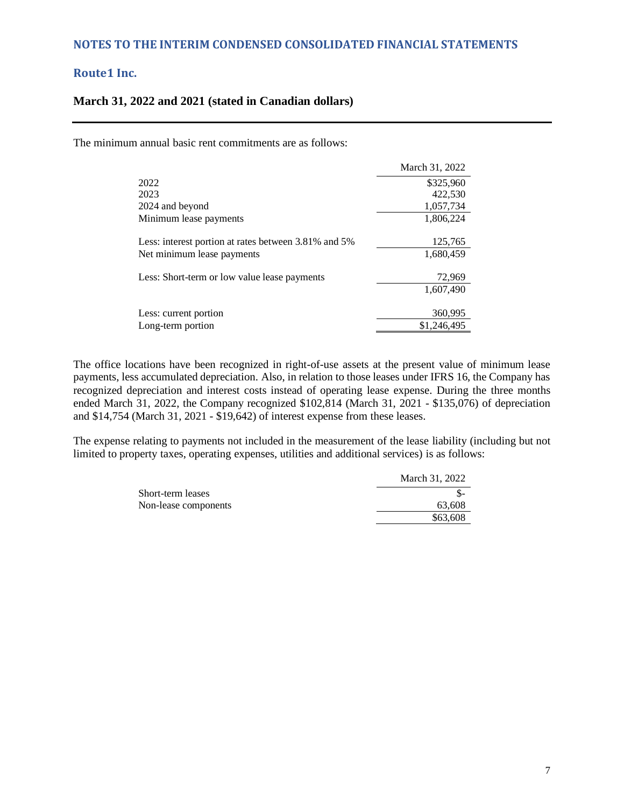#### **March 31, 2022 and 2021 (stated in Canadian dollars)**

The minimum annual basic rent commitments are as follows:

|                                                      | March 31, 2022 |
|------------------------------------------------------|----------------|
| 2022                                                 | \$325,960      |
| 2023                                                 | 422,530        |
| 2024 and beyond                                      | 1,057,734      |
| Minimum lease payments                               | 1,806,224      |
| Less: interest portion at rates between 3.81% and 5% | 125,765        |
| Net minimum lease payments                           | 1.680.459      |
| Less: Short-term or low value lease payments         | 72,969         |
|                                                      | 1.607.490      |
| Less: current portion                                | 360,995        |
| Long-term portion                                    | \$1,246,495    |

The office locations have been recognized in right-of-use assets at the present value of minimum lease payments, less accumulated depreciation. Also, in relation to those leases under IFRS 16, the Company has recognized depreciation and interest costs instead of operating lease expense. During the three months ended March 31, 2022, the Company recognized \$102,814 (March 31, 2021 - \$135,076) of depreciation and \$14,754 (March 31, 2021 - \$19,642) of interest expense from these leases.

The expense relating to payments not included in the measurement of the lease liability (including but not limited to property taxes, operating expenses, utilities and additional services) is as follows:

|                      | March 31, 2022 |
|----------------------|----------------|
| Short-term leases    |                |
| Non-lease components | 63,608         |
|                      | \$63,608       |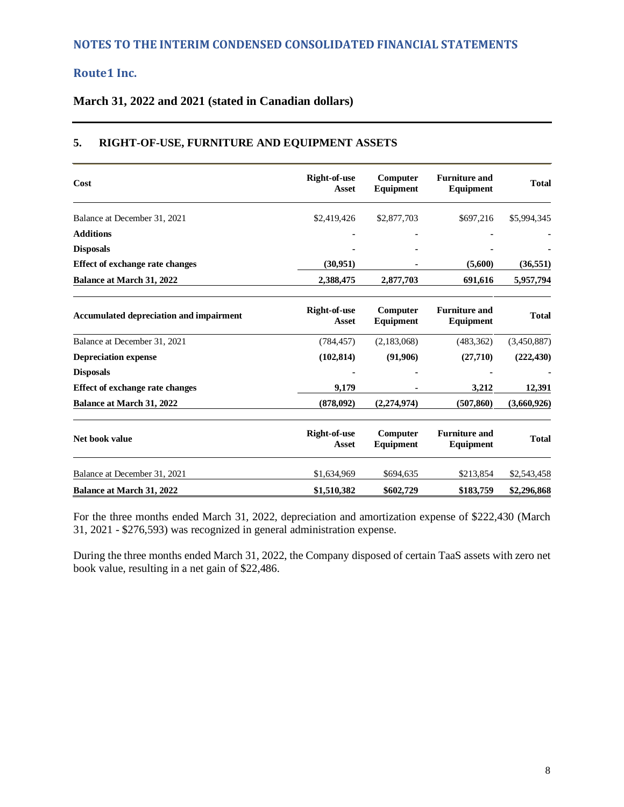## **March 31, 2022 and 2021 (stated in Canadian dollars)**

#### **Cost Right-of-use Asset Computer Equipment Furniture and Equipment Total** Balance at December 31, 2021 \$2,419,426 \$2,877,703 \$697,216 \$5,994,345 **Additions - - - - Disposals - - - - Effect of exchange rate changes (30,951) - (5,600) (36,551) Balance at March 31, 2022 2,388,475 2,877,703 691,616 5,957,794 Accumulated depreciation and impairment Right-of-use Asset Computer Equipment Furniture and Equipment Total**  Balance at December 31, 2021 (784,457) (2,183,068) (483,362) (3,450,887) **Depreciation expense (102,814) (91,906) (27,710) (222,430) Disposals - - - - Effect of exchange rate changes 9,179 - 3,212 12,391 Balance at March 31, 2022 (878,092) (2,274,974) (507,860) (3,660,926) Net book value Right-of-use Right-of-use Asset Computer Equipment Furniture and Equipment Total**  Balance at December 31, 2021 \$1,634,969 \$694,635 \$213,854 \$2,543,458 **Balance at March 31, 2022 \$1,510,382 \$602,729 \$183,759 \$2,296,868**

## **5. RIGHT-OF-USE, FURNITURE AND EQUIPMENT ASSETS**

For the three months ended March 31, 2022, depreciation and amortization expense of \$222,430 (March 31, 2021 - \$276,593) was recognized in general administration expense.

During the three months ended March 31, 2022, the Company disposed of certain TaaS assets with zero net book value, resulting in a net gain of \$22,486.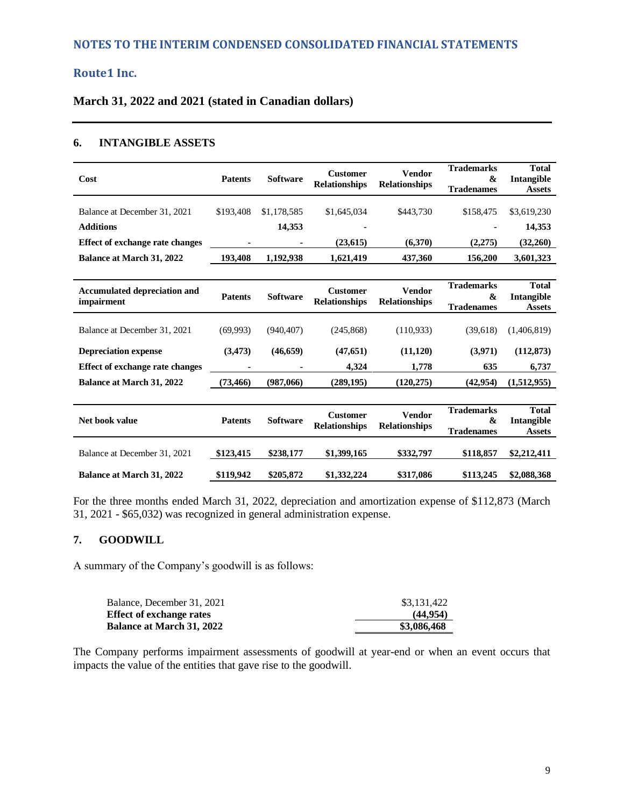**March 31, 2022 and 2021 (stated in Canadian dollars)** 

#### **6. INTANGIBLE ASSETS**

| Cost                                              | <b>Patents</b> | <b>Software</b> | <b>Customer</b><br><b>Relationships</b> | <b>Vendor</b><br><b>Relationships</b> | <b>Trademarks</b><br>&<br><b>Tradenames</b>                     | <b>Total</b><br>Intangible<br><b>Assets</b> |
|---------------------------------------------------|----------------|-----------------|-----------------------------------------|---------------------------------------|-----------------------------------------------------------------|---------------------------------------------|
| Balance at December 31, 2021                      | \$193,408      | \$1,178,585     | \$1,645,034                             | \$443.730                             | \$158,475                                                       | \$3,619,230                                 |
| <b>Additions</b>                                  |                | 14,353          |                                         |                                       |                                                                 | 14,353                                      |
| Effect of exchange rate changes                   |                |                 | (23, 615)                               | (6,370)                               | (2,275)                                                         | (32,260)                                    |
| <b>Balance at March 31, 2022</b>                  | 193,408        | 1,192,938       | 1,621,419                               | 437,360                               | 156,200                                                         | 3,601,323                                   |
|                                                   |                |                 |                                         |                                       |                                                                 |                                             |
| <b>Accumulated depreciation and</b><br>impairment | <b>Patents</b> | <b>Software</b> | <b>Customer</b><br><b>Relationships</b> | <b>Vendor</b><br><b>Relationships</b> | <b>Trademarks</b><br>&<br><b>Tradenames</b>                     | <b>Total</b><br>Intangible<br><b>Assets</b> |
| Balance at December 31, 2021                      | (69,993)       | (940.407)       | (245, 868)                              | (110, 933)                            | (39,618)                                                        | (1,406,819)                                 |
| <b>Depreciation expense</b>                       | (3, 473)       | (46, 659)       | (47, 651)                               | (11, 120)                             | (3,971)                                                         | (112, 873)                                  |
| Effect of exchange rate changes                   |                |                 | 4,324                                   | 1,778                                 | 635                                                             | 6,737                                       |
| <b>Balance at March 31, 2022</b>                  | (73, 466)      | (987,066)       | (289, 195)                              | (120, 275)                            | (42, 954)                                                       | (1,512,955)                                 |
|                                                   |                |                 |                                         |                                       |                                                                 |                                             |
| Net book value                                    | <b>Patents</b> | <b>Software</b> | <b>Customer</b><br><b>Relationships</b> | <b>Vendor</b><br><b>Relationships</b> | <b>Trademarks</b><br>$\boldsymbol{\alpha}$<br><b>Tradenames</b> | <b>Total</b><br>Intangible<br><b>Assets</b> |
| Balance at December 31, 2021                      | \$123,415      | \$238,177       | \$1,399,165                             | \$332,797                             | \$118,857                                                       | \$2,212,411                                 |
| <b>Balance at March 31, 2022</b>                  | \$119,942      | \$205,872       | \$1,332,224                             | \$317,086                             | \$113,245                                                       | \$2,088,368                                 |

For the three months ended March 31, 2022, depreciation and amortization expense of \$112,873 (March 31, 2021 - \$65,032) was recognized in general administration expense.

## **7. GOODWILL**

A summary of the Company's goodwill is as follows:

| Balance, December 31, 2021       | \$3,131,422 |
|----------------------------------|-------------|
| <b>Effect of exchange rates</b>  | (44.954)    |
| <b>Balance at March 31, 2022</b> | \$3,086,468 |

The Company performs impairment assessments of goodwill at year-end or when an event occurs that impacts the value of the entities that gave rise to the goodwill.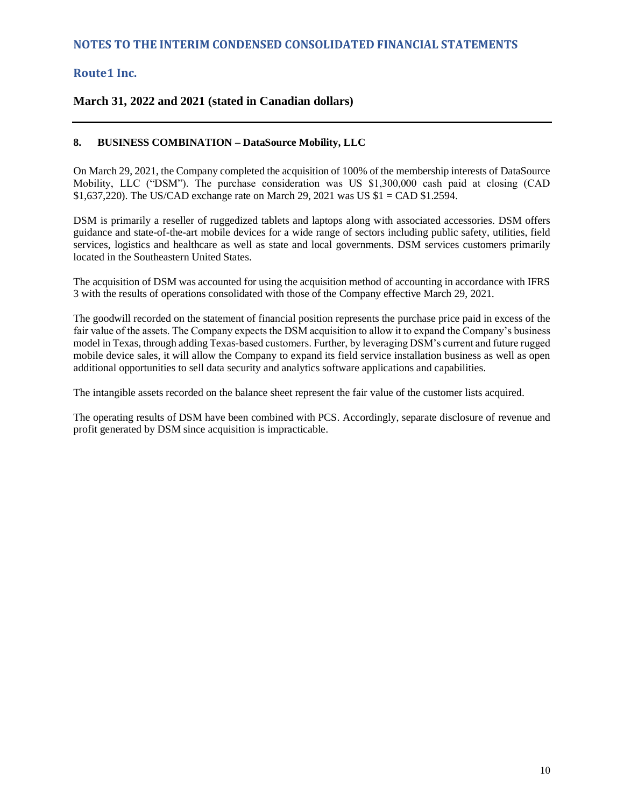## **March 31, 2022 and 2021 (stated in Canadian dollars)**

#### **8. BUSINESS COMBINATION – DataSource Mobility, LLC**

On March 29, 2021, the Company completed the acquisition of 100% of the membership interests of DataSource Mobility, LLC ("DSM"). The purchase consideration was US \$1,300,000 cash paid at closing (CAD \$1,637,220). The US/CAD exchange rate on March 29, 2021 was US \$1 = CAD \$1.2594.

DSM is primarily a reseller of ruggedized tablets and laptops along with associated accessories. DSM offers guidance and state-of-the-art mobile devices for a wide range of sectors including public safety, utilities, field services, logistics and healthcare as well as state and local governments. DSM services customers primarily located in the Southeastern United States.

The acquisition of DSM was accounted for using the acquisition method of accounting in accordance with IFRS 3 with the results of operations consolidated with those of the Company effective March 29, 2021.

The goodwill recorded on the statement of financial position represents the purchase price paid in excess of the fair value of the assets. The Company expects the DSM acquisition to allow it to expand the Company's business model in Texas, through adding Texas-based customers. Further, by leveraging DSM's current and future rugged mobile device sales, it will allow the Company to expand its field service installation business as well as open additional opportunities to sell data security and analytics software applications and capabilities.

The intangible assets recorded on the balance sheet represent the fair value of the customer lists acquired.

The operating results of DSM have been combined with PCS. Accordingly, separate disclosure of revenue and profit generated by DSM since acquisition is impracticable.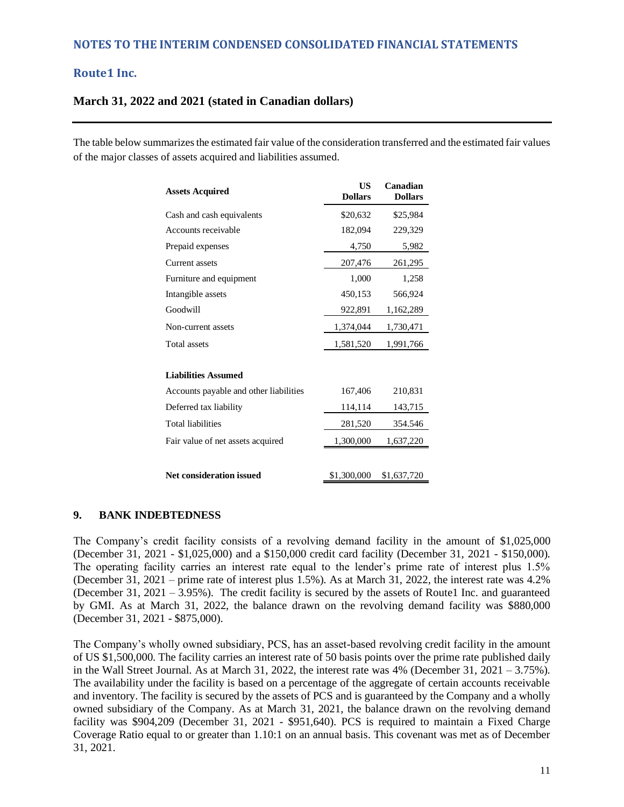## **March 31, 2022 and 2021 (stated in Canadian dollars)**

The table below summarizes the estimated fair value of the consideration transferred and the estimated fair values of the major classes of assets acquired and liabilities assumed.

| <b>Assets Acquired</b>                 | <b>US</b><br><b>Dollars</b> | Canadian<br><b>Dollars</b> |
|----------------------------------------|-----------------------------|----------------------------|
| Cash and cash equivalents              | \$20,632                    | \$25,984                   |
| Accounts receivable                    | 182,094                     | 229,329                    |
| Prepaid expenses                       | 4,750                       | 5,982                      |
| Current assets                         | 207,476                     | 261,295                    |
| Furniture and equipment                | 1,000                       | 1,258                      |
| Intangible assets                      | 450,153                     | 566,924                    |
| Goodwill                               | 922,891                     | 1,162,289                  |
| Non-current assets                     | 1,374,044                   | 1,730,471                  |
| <b>Total assets</b>                    | 1,581,520                   | 1,991,766                  |
|                                        |                             |                            |
| <b>Liabilities Assumed</b>             |                             |                            |
| Accounts payable and other liabilities | 167,406                     | 210,831                    |
| Deferred tax liability                 | 114,114                     | 143,715                    |
| <b>Total liabilities</b>               | 281,520                     | 354.546                    |
| Fair value of net assets acquired      | 1,300,000                   | 1,637,220                  |
|                                        |                             |                            |
| <b>Net consideration issued</b>        | \$1,300,000                 | \$1,637,720                |

## **9. BANK INDEBTEDNESS**

The Company's credit facility consists of a revolving demand facility in the amount of \$1,025,000 (December 31, 2021 - \$1,025,000) and a \$150,000 credit card facility (December 31, 2021 - \$150,000). The operating facility carries an interest rate equal to the lender's prime rate of interest plus 1.5% (December 31, 2021 – prime rate of interest plus 1.5%). As at March 31, 2022, the interest rate was 4.2% (December 31, 2021 – 3.95%). The credit facility is secured by the assets of Route1 Inc. and guaranteed by GMI. As at March 31, 2022, the balance drawn on the revolving demand facility was \$880,000 (December 31, 2021 - \$875,000).

The Company's wholly owned subsidiary, PCS, has an asset-based revolving credit facility in the amount of US \$1,500,000. The facility carries an interest rate of 50 basis points over the prime rate published daily in the Wall Street Journal. As at March 31, 2022, the interest rate was 4% (December 31, 2021 – 3.75%). The availability under the facility is based on a percentage of the aggregate of certain accounts receivable and inventory. The facility is secured by the assets of PCS and is guaranteed by the Company and a wholly owned subsidiary of the Company. As at March 31, 2021, the balance drawn on the revolving demand facility was \$904,209 (December 31, 2021 - \$951,640). PCS is required to maintain a Fixed Charge Coverage Ratio equal to or greater than 1.10:1 on an annual basis. This covenant was met as of December 31, 2021.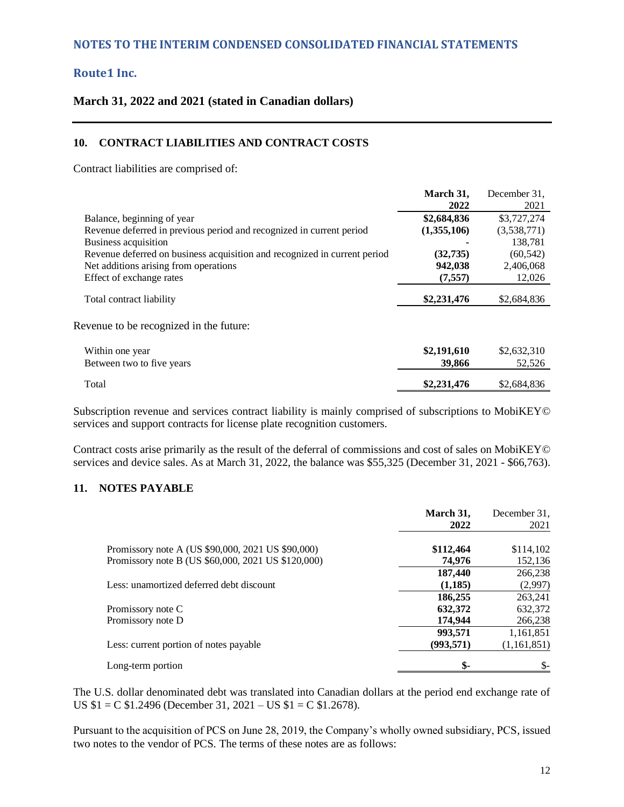#### **March 31, 2022 and 2021 (stated in Canadian dollars)**

#### **10. CONTRACT LIABILITIES AND CONTRACT COSTS**

Contract liabilities are comprised of:

|                                                                           | March 31,   | December 31. |
|---------------------------------------------------------------------------|-------------|--------------|
|                                                                           | 2022        | 2021         |
| Balance, beginning of year                                                | \$2,684,836 | \$3,727,274  |
| Revenue deferred in previous period and recognized in current period      | (1,355,106) | (3,538,771)  |
| Business acquisition                                                      |             | 138,781      |
| Revenue deferred on business acquisition and recognized in current period | (32, 735)   | (60, 542)    |
| Net additions arising from operations                                     | 942,038     | 2,406,068    |
| Effect of exchange rates                                                  | (7, 557)    | 12,026       |
| Total contract liability                                                  | \$2,231,476 | \$2,684,836  |
| Revenue to be recognized in the future:                                   |             |              |
| Within one year                                                           | \$2,191,610 | \$2,632,310  |
| Between two to five years                                                 | 39,866      | 52,526       |
| Total                                                                     | \$2,231,476 | \$2,684,836  |

Subscription revenue and services contract liability is mainly comprised of subscriptions to MobiKEY© services and support contracts for license plate recognition customers.

Contract costs arise primarily as the result of the deferral of commissions and cost of sales on MobiKEY© services and device sales. As at March 31, 2022, the balance was \$55,325 (December 31, 2021 - \$66,763).

## **11. NOTES PAYABLE**

|                                                    | March 31,<br>2022 | December 31,<br>2021 |
|----------------------------------------------------|-------------------|----------------------|
| Promissory note A (US \$90,000, 2021 US \$90,000)  | \$112,464         | \$114,102            |
| Promissory note B (US \$60,000, 2021 US \$120,000) | 74.976            | 152,136              |
|                                                    | 187,440           | 266,238              |
| Less: unamortized deferred debt discount           | (1,185)           | (2,997)              |
|                                                    | 186,255           | 263,241              |
| Promissory note C                                  | 632,372           | 632,372              |
| Promissory note D                                  | 174,944           | 266,238              |
|                                                    | 993,571           | 1,161,851            |
| Less: current portion of notes payable             | (993, 571)        | (1, 161, 851)        |
| Long-term portion                                  | \$-               | \$-                  |

The U.S. dollar denominated debt was translated into Canadian dollars at the period end exchange rate of US \$1 = C \$1.2496 (December 31, 2021 – US \$1 = C \$1.2678).

Pursuant to the acquisition of PCS on June 28, 2019, the Company's wholly owned subsidiary, PCS, issued two notes to the vendor of PCS. The terms of these notes are as follows: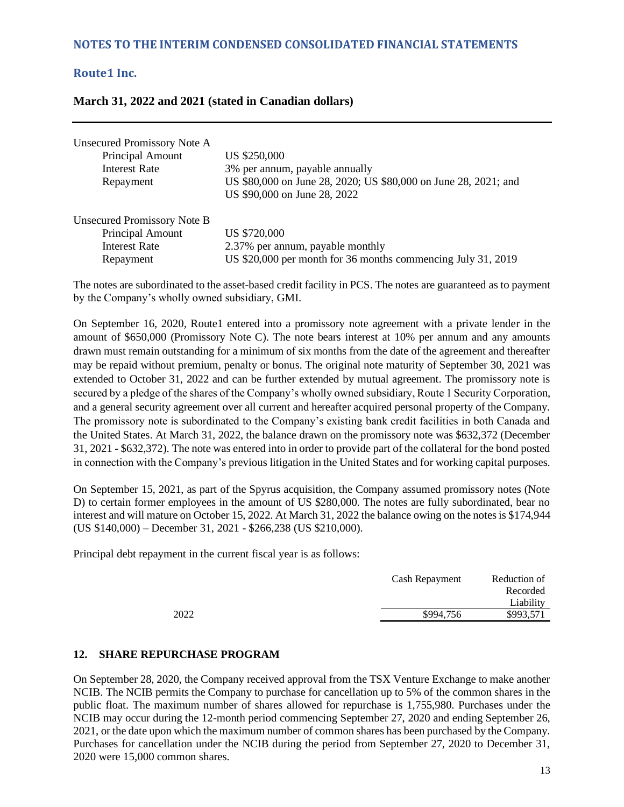|  |  |  | March 31, 2022 and 2021 (stated in Canadian dollars) |
|--|--|--|------------------------------------------------------|
|--|--|--|------------------------------------------------------|

| <b>Unsecured Promissory Note A</b> |                                                                 |
|------------------------------------|-----------------------------------------------------------------|
| Principal Amount                   | US \$250,000                                                    |
| <b>Interest Rate</b>               | 3% per annum, payable annually                                  |
| Repayment                          | US \$80,000 on June 28, 2020; US \$80,000 on June 28, 2021; and |
|                                    | US \$90,000 on June 28, 2022                                    |
| <b>Unsecured Promissory Note B</b> |                                                                 |
| <b>Principal Amount</b>            | US \$720,000                                                    |
| <b>Interest Rate</b>               | 2.37% per annum, payable monthly                                |
| Repayment                          | US \$20,000 per month for 36 months commencing July 31, 2019    |

The notes are subordinated to the asset-based credit facility in PCS. The notes are guaranteed as to payment by the Company's wholly owned subsidiary, GMI.

On September 16, 2020, Route1 entered into a promissory note agreement with a private lender in the amount of \$650,000 (Promissory Note C). The note bears interest at 10% per annum and any amounts drawn must remain outstanding for a minimum of six months from the date of the agreement and thereafter may be repaid without premium, penalty or bonus. The original note maturity of September 30, 2021 was extended to October 31, 2022 and can be further extended by mutual agreement. The promissory note is secured by a pledge of the shares of the Company's wholly owned subsidiary, Route 1 Security Corporation, and a general security agreement over all current and hereafter acquired personal property of the Company. The promissory note is subordinated to the Company's existing bank credit facilities in both Canada and the United States. At March 31, 2022, the balance drawn on the promissory note was \$632,372 (December 31, 2021 - \$632,372). The note was entered into in order to provide part of the collateral for the bond posted in connection with the Company's previous litigation in the United States and for working capital purposes.

On September 15, 2021, as part of the Spyrus acquisition, the Company assumed promissory notes (Note D) to certain former employees in the amount of US \$280,000. The notes are fully subordinated, bear no interest and will mature on October 15, 2022. At March 31, 2022 the balance owing on the notes is \$174,944 (US \$140,000) – December 31, 2021 - \$266,238 (US \$210,000).

Principal debt repayment in the current fiscal year is as follows:

|      | Cash Repayment | Reduction of |
|------|----------------|--------------|
|      |                | Recorded     |
|      |                | Liability    |
| 2022 | \$994.756      | \$993,571    |
|      |                |              |

#### **12. SHARE REPURCHASE PROGRAM**

On September 28, 2020, the Company received approval from the TSX Venture Exchange to make another NCIB. The NCIB permits the Company to purchase for cancellation up to 5% of the common shares in the public float. The maximum number of shares allowed for repurchase is 1,755,980. Purchases under the NCIB may occur during the 12-month period commencing September 27, 2020 and ending September 26, 2021, or the date upon which the maximum number of common shares has been purchased by the Company. Purchases for cancellation under the NCIB during the period from September 27, 2020 to December 31, 2020 were 15,000 common shares.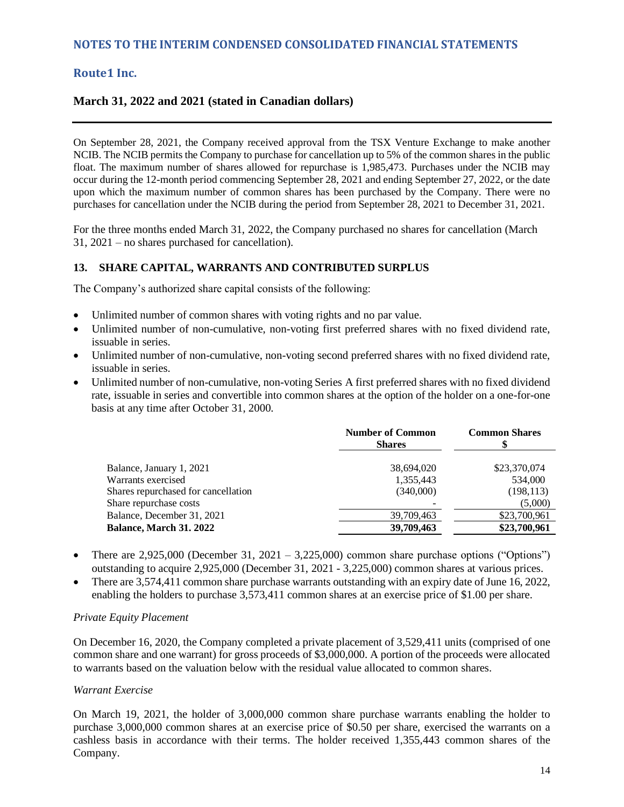## **March 31, 2022 and 2021 (stated in Canadian dollars)**

On September 28, 2021, the Company received approval from the TSX Venture Exchange to make another NCIB. The NCIB permits the Company to purchase for cancellation up to 5% of the common shares in the public float. The maximum number of shares allowed for repurchase is 1,985,473. Purchases under the NCIB may occur during the 12-month period commencing September 28, 2021 and ending September 27, 2022, or the date upon which the maximum number of common shares has been purchased by the Company. There were no purchases for cancellation under the NCIB during the period from September 28, 2021 to December 31, 2021.

For the three months ended March 31, 2022, the Company purchased no shares for cancellation (March 31, 2021 – no shares purchased for cancellation).

#### **13. SHARE CAPITAL, WARRANTS AND CONTRIBUTED SURPLUS**

The Company's authorized share capital consists of the following:

- Unlimited number of common shares with voting rights and no par value.
- Unlimited number of non-cumulative, non-voting first preferred shares with no fixed dividend rate, issuable in series.
- Unlimited number of non-cumulative, non-voting second preferred shares with no fixed dividend rate, issuable in series.
- Unlimited number of non-cumulative, non-voting Series A first preferred shares with no fixed dividend rate, issuable in series and convertible into common shares at the option of the holder on a one-for-one basis at any time after October 31, 2000.

|                                     | <b>Number of Common</b><br><b>Shares</b> | <b>Common Shares</b> |
|-------------------------------------|------------------------------------------|----------------------|
| Balance, January 1, 2021            | 38,694,020                               | \$23,370,074         |
| Warrants exercised                  | 1,355,443                                | 534,000              |
| Shares repurchased for cancellation | (340,000)                                | (198, 113)           |
| Share repurchase costs              |                                          | (5,000)              |
| Balance, December 31, 2021          | 39,709,463                               | \$23,700,961         |
| Balance, March 31. 2022             | 39,709,463                               | \$23,700,961         |

- There are  $2,925,000$  (December 31,  $2021 3,225,000$ ) common share purchase options ("Options") outstanding to acquire 2,925,000 (December 31, 2021 - 3,225,000) common shares at various prices.
- There are 3,574,411 common share purchase warrants outstanding with an expiry date of June 16, 2022, enabling the holders to purchase 3,573,411 common shares at an exercise price of \$1.00 per share.

#### *Private Equity Placement*

On December 16, 2020, the Company completed a private placement of 3,529,411 units (comprised of one common share and one warrant) for gross proceeds of \$3,000,000. A portion of the proceeds were allocated to warrants based on the valuation below with the residual value allocated to common shares.

#### *Warrant Exercise*

On March 19, 2021, the holder of 3,000,000 common share purchase warrants enabling the holder to purchase 3,000,000 common shares at an exercise price of \$0.50 per share, exercised the warrants on a cashless basis in accordance with their terms. The holder received 1,355,443 common shares of the Company.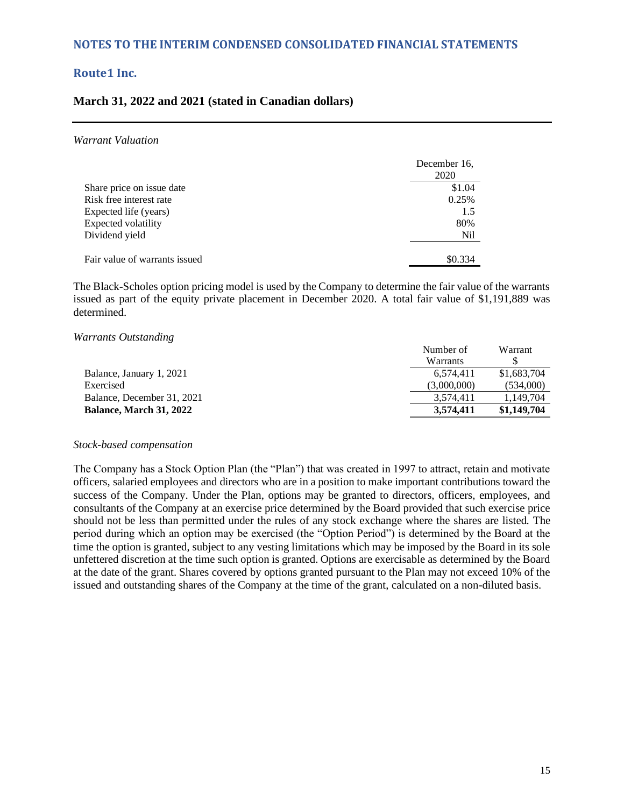#### **March 31, 2022 and 2021 (stated in Canadian dollars)**

#### *Warrant Valuation*

|                               | December 16. |
|-------------------------------|--------------|
|                               | 2020         |
| Share price on issue date     | \$1.04       |
| Risk free interest rate       | 0.25%        |
| Expected life (years)         | 1.5          |
| Expected volatility           | 80%          |
| Dividend yield                | Nil          |
| Fair value of warrants issued | \$0.334      |

The Black-Scholes option pricing model is used by the Company to determine the fair value of the warrants issued as part of the equity private placement in December 2020. A total fair value of \$1,191,889 was determined.

#### *Warrants Outstanding*

|                                | Number of   | Warrant     |
|--------------------------------|-------------|-------------|
|                                | Warrants    |             |
| Balance, January 1, 2021       | 6.574.411   | \$1,683,704 |
| Exercised                      | (3,000,000) | (534.000)   |
| Balance, December 31, 2021     | 3.574.411   | 1,149,704   |
| <b>Balance, March 31, 2022</b> | 3.574.411   | \$1,149,704 |

#### *Stock-based compensation*

The Company has a Stock Option Plan (the "Plan") that was created in 1997 to attract, retain and motivate officers, salaried employees and directors who are in a position to make important contributions toward the success of the Company. Under the Plan, options may be granted to directors, officers, employees, and consultants of the Company at an exercise price determined by the Board provided that such exercise price should not be less than permitted under the rules of any stock exchange where the shares are listed. The period during which an option may be exercised (the "Option Period") is determined by the Board at the time the option is granted, subject to any vesting limitations which may be imposed by the Board in its sole unfettered discretion at the time such option is granted. Options are exercisable as determined by the Board at the date of the grant. Shares covered by options granted pursuant to the Plan may not exceed 10% of the issued and outstanding shares of the Company at the time of the grant, calculated on a non-diluted basis.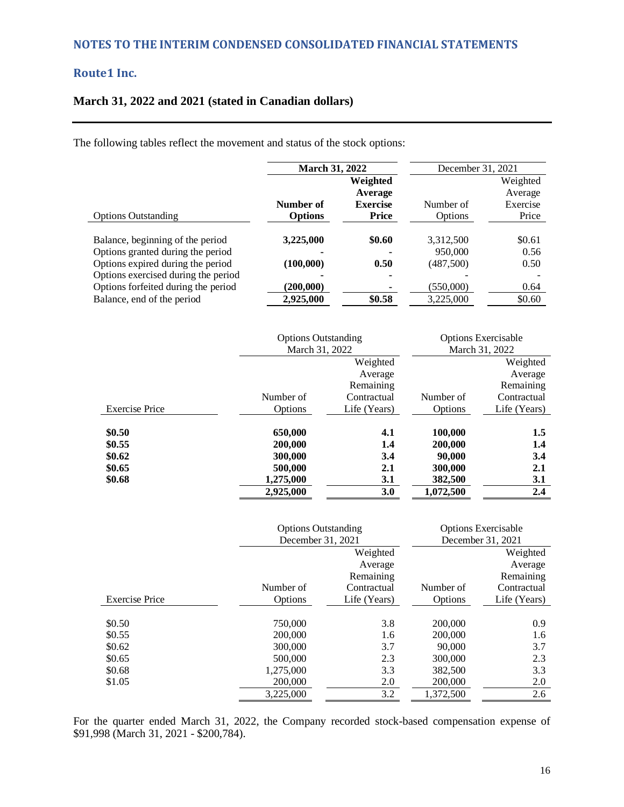## **NOTES TO THE INTERIM CONDENSED CONSOLIDATED FINANCIAL STATEMENTS**

## **Route1 Inc.**

## **March 31, 2022 and 2021 (stated in Canadian dollars)**

The following tables reflect the movement and status of the stock options:

|                                     | <b>March 31, 2022</b> |                                        | December 31, 2021 |                                 |
|-------------------------------------|-----------------------|----------------------------------------|-------------------|---------------------------------|
|                                     | Number of             | Weighted<br>Average<br><b>Exercise</b> | Number of         | Weighted<br>Average<br>Exercise |
| <b>Options Outstanding</b>          | <b>Options</b>        | <b>Price</b>                           | Options           | Price                           |
| Balance, beginning of the period    | 3,225,000             | \$0.60                                 | 3,312,500         | \$0.61                          |
| Options granted during the period   |                       |                                        | 950,000           | 0.56                            |
| Options expired during the period   | (100,000)             | 0.50                                   | (487,500)         | 0.50                            |
| Options exercised during the period |                       |                                        |                   |                                 |
| Options forfeited during the period | (200,000)             |                                        | (550,000)         | 0.64                            |
| Balance, end of the period          | 2,925,000             | \$0.58                                 | 3,225,000         | \$0.60                          |

|                       | <b>Options Outstanding</b> |              |                | <b>Options Exercisable</b> |
|-----------------------|----------------------------|--------------|----------------|----------------------------|
|                       | March 31, 2022             |              | March 31, 2022 |                            |
|                       |                            | Weighted     |                | Weighted                   |
|                       |                            | Average      |                | Average                    |
|                       |                            | Remaining    |                | Remaining                  |
|                       | Number of                  | Contractual  | Number of      | Contractual                |
| <b>Exercise Price</b> | Options                    | Life (Years) | Options        | Life (Years)               |
|                       |                            |              |                |                            |
| \$0.50                | 650,000                    | 4.1          | 100,000        | 1.5                        |
| \$0.55                | 200,000                    | 1.4          | 200,000        | 1.4                        |
| \$0.62                | 300,000                    | 3.4          | 90,000         | 3.4                        |
| \$0.65                | 500,000                    | 2.1          | 300,000        | 2.1                        |
| \$0.68                | 1,275,000                  | <b>3.1</b>   | 382,500        | 3.1                        |
|                       | 2,925,000                  | 3.0          | 1,072,500      | 2.4                        |

|                       | <b>Options Outstanding</b> |              |           | <b>Options Exercisable</b> |
|-----------------------|----------------------------|--------------|-----------|----------------------------|
|                       | December 31, 2021          |              |           | December 31, 2021          |
|                       |                            | Weighted     |           | Weighted                   |
|                       |                            | Average      |           | Average                    |
|                       |                            | Remaining    |           | Remaining                  |
|                       | Number of                  | Contractual  | Number of | Contractual                |
| <b>Exercise Price</b> | Options                    | Life (Years) | Options   | Life (Years)               |
|                       |                            |              |           |                            |
| \$0.50                | 750,000                    | 3.8          | 200,000   | 0.9                        |
| \$0.55                | 200,000                    | 1.6          | 200,000   | 1.6                        |
| \$0.62                | 300,000                    | 3.7          | 90,000    | 3.7                        |
| \$0.65                | 500,000                    | 2.3          | 300,000   | 2.3                        |
| \$0.68                | 1,275,000                  | 3.3          | 382,500   | 3.3                        |
| \$1.05                | 200,000                    | 2.0          | 200,000   | 2.0                        |
|                       | 3.225.000                  | 3.2          | 1.372.500 | 2.6                        |

For the quarter ended March 31, 2022, the Company recorded stock-based compensation expense of \$91,998 (March 31, 2021 - \$200,784).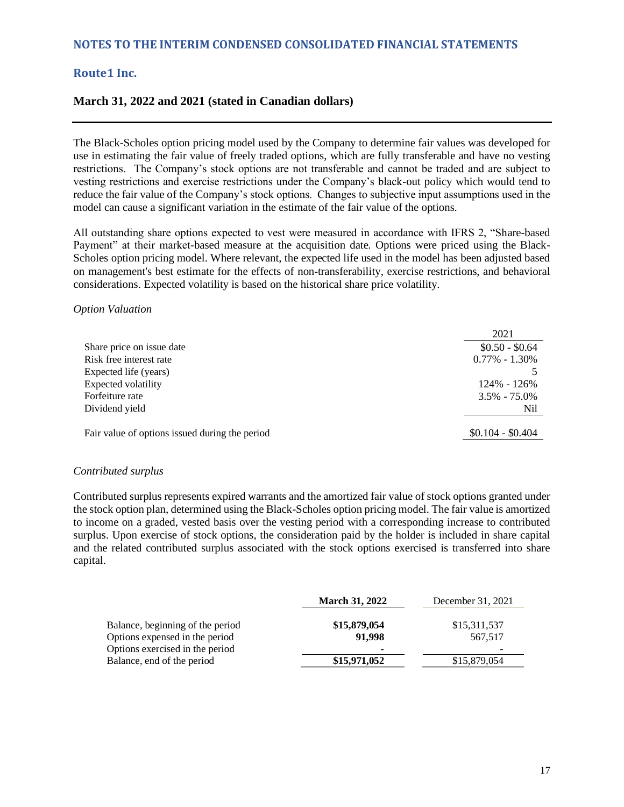#### **March 31, 2022 and 2021 (stated in Canadian dollars)**

The Black-Scholes option pricing model used by the Company to determine fair values was developed for use in estimating the fair value of freely traded options, which are fully transferable and have no vesting restrictions. The Company's stock options are not transferable and cannot be traded and are subject to vesting restrictions and exercise restrictions under the Company's black-out policy which would tend to reduce the fair value of the Company's stock options. Changes to subjective input assumptions used in the model can cause a significant variation in the estimate of the fair value of the options.

All outstanding share options expected to vest were measured in accordance with IFRS 2, "Share-based Payment" at their market-based measure at the acquisition date. Options were priced using the Black-Scholes option pricing model. Where relevant, the expected life used in the model has been adjusted based on management's best estimate for the effects of non-transferability, exercise restrictions, and behavioral considerations. Expected volatility is based on the historical share price volatility.

#### *Option Valuation*

|                                                | 2021              |
|------------------------------------------------|-------------------|
| Share price on issue date                      | $$0.50 - $0.64$   |
| Risk free interest rate                        | $0.77\% - 1.30\%$ |
| Expected life (years)                          |                   |
| Expected volatility                            | 124% - 126%       |
| Forfeiture rate                                | $3.5\% - 75.0\%$  |
| Dividend yield                                 | Nil               |
| Fair value of options issued during the period | $$0.104 - $0.404$ |
|                                                |                   |

#### *Contributed surplus*

Contributed surplus represents expired warrants and the amortized fair value of stock options granted under the stock option plan, determined using the Black-Scholes option pricing model. The fair value is amortized to income on a graded, vested basis over the vesting period with a corresponding increase to contributed surplus. Upon exercise of stock options, the consideration paid by the holder is included in share capital and the related contributed surplus associated with the stock options exercised is transferred into share capital.

|                                                                    | <b>March 31, 2022</b>  | December 31, 2021       |
|--------------------------------------------------------------------|------------------------|-------------------------|
| Balance, beginning of the period<br>Options expensed in the period | \$15,879,054<br>91,998 | \$15,311,537<br>567,517 |
| Options exercised in the period                                    | ۰                      | -                       |
| Balance, end of the period                                         | \$15,971,052           | \$15,879,054            |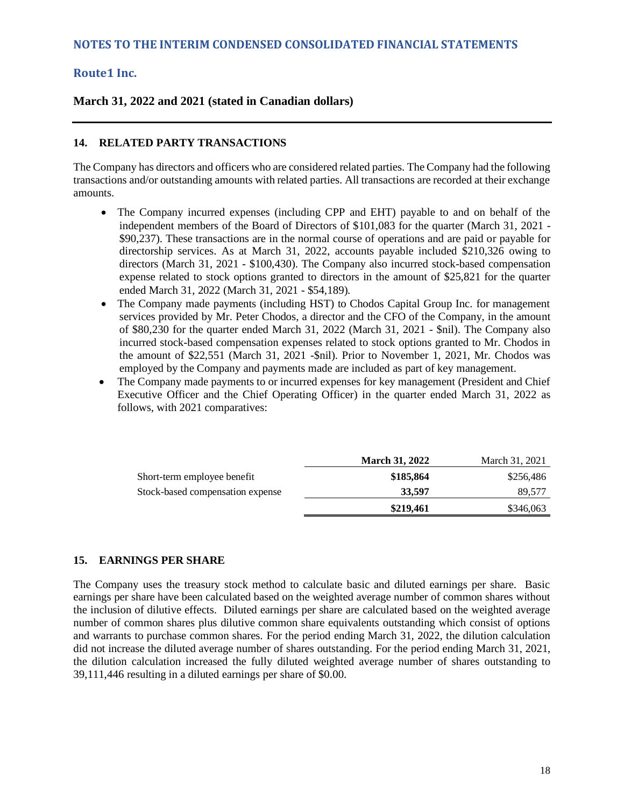#### **March 31, 2022 and 2021 (stated in Canadian dollars)**

#### **14. RELATED PARTY TRANSACTIONS**

The Company has directors and officers who are considered related parties. The Company had the following transactions and/or outstanding amounts with related parties. All transactions are recorded at their exchange amounts.

- The Company incurred expenses (including CPP and EHT) payable to and on behalf of the independent members of the Board of Directors of \$101,083 for the quarter (March 31, 2021 - \$90,237). These transactions are in the normal course of operations and are paid or payable for directorship services. As at March 31, 2022, accounts payable included \$210,326 owing to directors (March 31, 2021 - \$100,430). The Company also incurred stock-based compensation expense related to stock options granted to directors in the amount of \$25,821 for the quarter ended March 31, 2022 (March 31, 2021 - \$54,189).
- The Company made payments (including HST) to Chodos Capital Group Inc. for management services provided by Mr. Peter Chodos, a director and the CFO of the Company, in the amount of \$80,230 for the quarter ended March 31, 2022 (March 31, 2021 - \$nil). The Company also incurred stock-based compensation expenses related to stock options granted to Mr. Chodos in the amount of \$22,551 (March 31, 2021 -\$nil). Prior to November 1, 2021, Mr. Chodos was employed by the Company and payments made are included as part of key management.
- The Company made payments to or incurred expenses for key management (President and Chief Executive Officer and the Chief Operating Officer) in the quarter ended March 31, 2022 as follows, with 2021 comparatives:

|                                  | <b>March 31, 2022</b> | March 31, 2021 |
|----------------------------------|-----------------------|----------------|
| Short-term employee benefit      | \$185,864             | \$256.486      |
| Stock-based compensation expense | 33,597                | 89.577         |
|                                  | \$219,461             | \$346,063      |

#### **15. EARNINGS PER SHARE**

The Company uses the treasury stock method to calculate basic and diluted earnings per share. Basic earnings per share have been calculated based on the weighted average number of common shares without the inclusion of dilutive effects. Diluted earnings per share are calculated based on the weighted average number of common shares plus dilutive common share equivalents outstanding which consist of options and warrants to purchase common shares. For the period ending March 31, 2022, the dilution calculation did not increase the diluted average number of shares outstanding. For the period ending March 31, 2021, the dilution calculation increased the fully diluted weighted average number of shares outstanding to 39,111,446 resulting in a diluted earnings per share of \$0.00.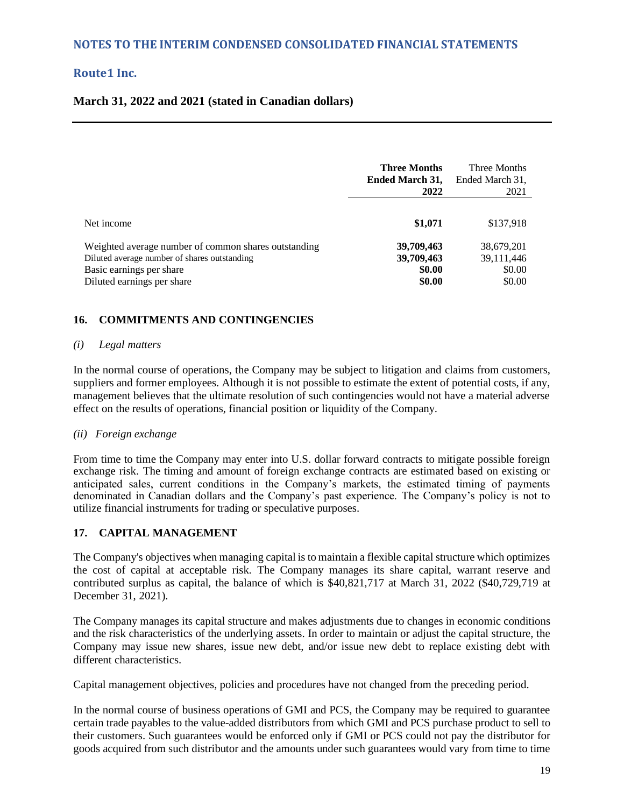#### **March 31, 2022 and 2021 (stated in Canadian dollars)**

|                                                                                                                                                                | <b>Three Months</b><br><b>Ended March 31,</b><br>2022 | Three Months<br>Ended March 31,<br>2021        |
|----------------------------------------------------------------------------------------------------------------------------------------------------------------|-------------------------------------------------------|------------------------------------------------|
| Net income                                                                                                                                                     | \$1,071                                               | \$137,918                                      |
| Weighted average number of common shares outstanding<br>Diluted average number of shares outstanding<br>Basic earnings per share<br>Diluted earnings per share | 39,709,463<br>39,709,463<br>\$0.00<br>\$0.00          | 38,679,201<br>39, 111, 446<br>\$0.00<br>\$0.00 |

#### **16. COMMITMENTS AND CONTINGENCIES**

#### *(i) Legal matters*

In the normal course of operations, the Company may be subject to litigation and claims from customers, suppliers and former employees. Although it is not possible to estimate the extent of potential costs, if any, management believes that the ultimate resolution of such contingencies would not have a material adverse effect on the results of operations, financial position or liquidity of the Company.

#### *(ii) Foreign exchange*

From time to time the Company may enter into U.S. dollar forward contracts to mitigate possible foreign exchange risk. The timing and amount of foreign exchange contracts are estimated based on existing or anticipated sales, current conditions in the Company's markets, the estimated timing of payments denominated in Canadian dollars and the Company's past experience. The Company's policy is not to utilize financial instruments for trading or speculative purposes.

#### **17. CAPITAL MANAGEMENT**

The Company's objectives when managing capital is to maintain a flexible capital structure which optimizes the cost of capital at acceptable risk. The Company manages its share capital, warrant reserve and contributed surplus as capital, the balance of which is \$40,821,717 at March 31, 2022 (\$40,729,719 at December 31, 2021).

The Company manages its capital structure and makes adjustments due to changes in economic conditions and the risk characteristics of the underlying assets. In order to maintain or adjust the capital structure, the Company may issue new shares, issue new debt, and/or issue new debt to replace existing debt with different characteristics.

Capital management objectives, policies and procedures have not changed from the preceding period.

In the normal course of business operations of GMI and PCS, the Company may be required to guarantee certain trade payables to the value-added distributors from which GMI and PCS purchase product to sell to their customers. Such guarantees would be enforced only if GMI or PCS could not pay the distributor for goods acquired from such distributor and the amounts under such guarantees would vary from time to time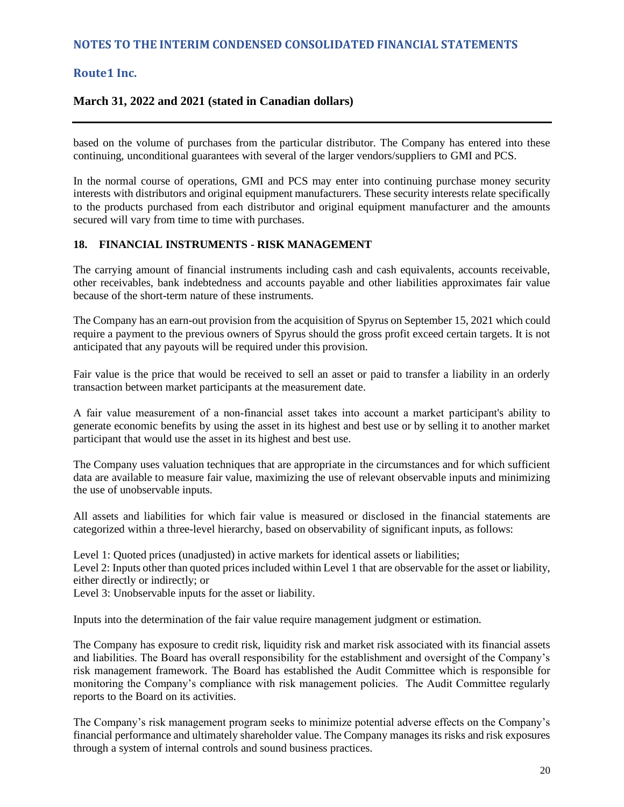#### **March 31, 2022 and 2021 (stated in Canadian dollars)**

based on the volume of purchases from the particular distributor. The Company has entered into these continuing, unconditional guarantees with several of the larger vendors/suppliers to GMI and PCS.

In the normal course of operations, GMI and PCS may enter into continuing purchase money security interests with distributors and original equipment manufacturers. These security interests relate specifically to the products purchased from each distributor and original equipment manufacturer and the amounts secured will vary from time to time with purchases.

#### **18. FINANCIAL INSTRUMENTS - RISK MANAGEMENT**

The carrying amount of financial instruments including cash and cash equivalents, accounts receivable, other receivables, bank indebtedness and accounts payable and other liabilities approximates fair value because of the short-term nature of these instruments.

The Company has an earn-out provision from the acquisition of Spyrus on September 15, 2021 which could require a payment to the previous owners of Spyrus should the gross profit exceed certain targets. It is not anticipated that any payouts will be required under this provision.

Fair value is the price that would be received to sell an asset or paid to transfer a liability in an orderly transaction between market participants at the measurement date.

A fair value measurement of a non‐financial asset takes into account a market participant's ability to generate economic benefits by using the asset in its highest and best use or by selling it to another market participant that would use the asset in its highest and best use.

The Company uses valuation techniques that are appropriate in the circumstances and for which sufficient data are available to measure fair value, maximizing the use of relevant observable inputs and minimizing the use of unobservable inputs.

All assets and liabilities for which fair value is measured or disclosed in the financial statements are categorized within a three-level hierarchy, based on observability of significant inputs, as follows:

Level 1: Quoted prices (unadjusted) in active markets for identical assets or liabilities;

Level 2: Inputs other than quoted prices included within Level 1 that are observable for the asset or liability, either directly or indirectly; or

Level 3: Unobservable inputs for the asset or liability.

Inputs into the determination of the fair value require management judgment or estimation.

The Company has exposure to credit risk, liquidity risk and market risk associated with its financial assets and liabilities. The Board has overall responsibility for the establishment and oversight of the Company's risk management framework. The Board has established the Audit Committee which is responsible for monitoring the Company's compliance with risk management policies. The Audit Committee regularly reports to the Board on its activities.

The Company's risk management program seeks to minimize potential adverse effects on the Company's financial performance and ultimately shareholder value. The Company manages its risks and risk exposures through a system of internal controls and sound business practices.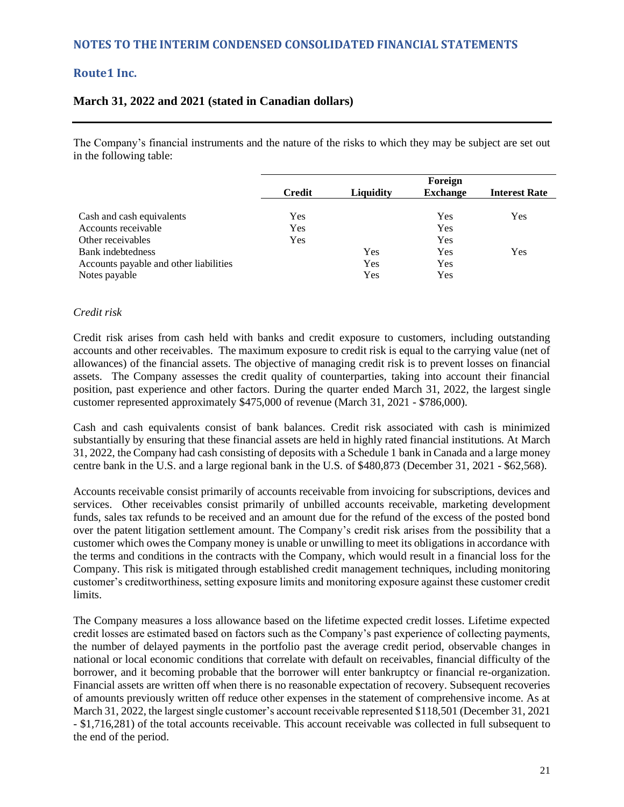## **NOTES TO THE INTERIM CONDENSED CONSOLIDATED FINANCIAL STATEMENTS**

## **Route1 Inc.**

#### **March 31, 2022 and 2021 (stated in Canadian dollars)**

The Company's financial instruments and the nature of the risks to which they may be subject are set out in the following table:

|                                        |               | Foreign   |                 |                      |  |
|----------------------------------------|---------------|-----------|-----------------|----------------------|--|
|                                        | <b>Credit</b> | Liquidity | <b>Exchange</b> | <b>Interest Rate</b> |  |
|                                        |               |           |                 |                      |  |
| Cash and cash equivalents              | Yes           |           | Yes             | Yes                  |  |
| Accounts receivable                    | Yes           |           | Yes             |                      |  |
| Other receivables                      | Yes           |           | Yes             |                      |  |
| Bank indebtedness                      |               | Yes       | Yes             | Yes                  |  |
| Accounts payable and other liabilities |               | Yes       | Yes             |                      |  |
| Notes payable                          |               | Yes       | Yes             |                      |  |

#### *Credit risk*

Credit risk arises from cash held with banks and credit exposure to customers, including outstanding accounts and other receivables. The maximum exposure to credit risk is equal to the carrying value (net of allowances) of the financial assets. The objective of managing credit risk is to prevent losses on financial assets. The Company assesses the credit quality of counterparties, taking into account their financial position, past experience and other factors. During the quarter ended March 31, 2022, the largest single customer represented approximately \$475,000 of revenue (March 31, 2021 - \$786,000).

Cash and cash equivalents consist of bank balances. Credit risk associated with cash is minimized substantially by ensuring that these financial assets are held in highly rated financial institutions. At March 31, 2022, the Company had cash consisting of deposits with a Schedule 1 bank in Canada and a large money centre bank in the U.S. and a large regional bank in the U.S. of \$480,873 (December 31, 2021 - \$62,568).

Accounts receivable consist primarily of accounts receivable from invoicing for subscriptions, devices and services. Other receivables consist primarily of unbilled accounts receivable, marketing development funds, sales tax refunds to be received and an amount due for the refund of the excess of the posted bond over the patent litigation settlement amount. The Company's credit risk arises from the possibility that a customer which owes the Company money is unable or unwilling to meet its obligations in accordance with the terms and conditions in the contracts with the Company, which would result in a financial loss for the Company. This risk is mitigated through established credit management techniques, including monitoring customer's creditworthiness, setting exposure limits and monitoring exposure against these customer credit limits.

The Company measures a loss allowance based on the lifetime expected credit losses. Lifetime expected credit losses are estimated based on factors such as the Company's past experience of collecting payments, the number of delayed payments in the portfolio past the average credit period, observable changes in national or local economic conditions that correlate with default on receivables, financial difficulty of the borrower, and it becoming probable that the borrower will enter bankruptcy or financial re-organization. Financial assets are written off when there is no reasonable expectation of recovery. Subsequent recoveries of amounts previously written off reduce other expenses in the statement of comprehensive income. As at March 31, 2022, the largest single customer's account receivable represented \$118,501 (December 31, 2021 - \$1,716,281) of the total accounts receivable. This account receivable was collected in full subsequent to the end of the period.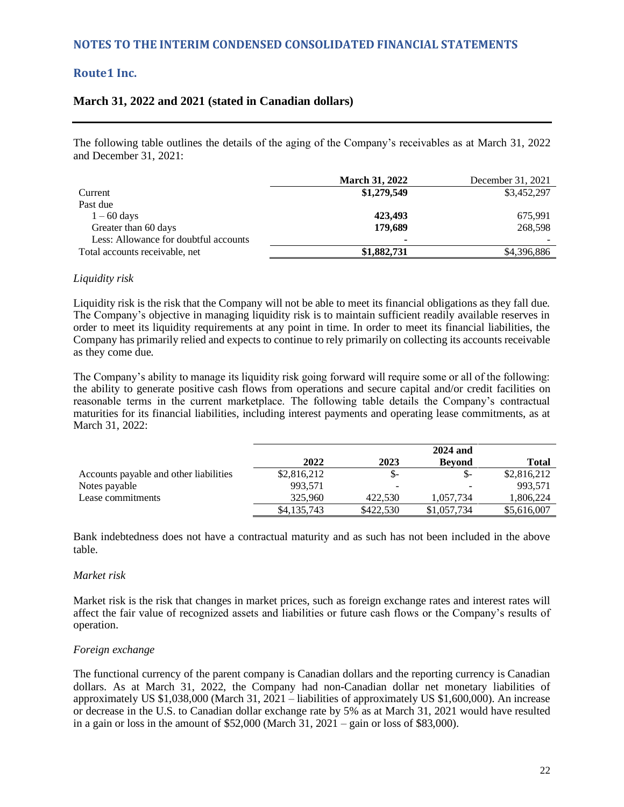#### **March 31, 2022 and 2021 (stated in Canadian dollars)**

The following table outlines the details of the aging of the Company's receivables as at March 31, 2022 and December 31, 2021:

|                                       | <b>March 31, 2022</b> | December 31, 2021 |
|---------------------------------------|-----------------------|-------------------|
| Current                               | \$1,279,549           | \$3,452,297       |
| Past due                              |                       |                   |
| $1 - 60$ days                         | 423,493               | 675,991           |
| Greater than 60 days                  | 179,689               | 268,598           |
| Less: Allowance for doubtful accounts |                       |                   |
| Total accounts receivable, net        | \$1,882,731           | \$4,396,886       |

#### *Liquidity risk*

Liquidity risk is the risk that the Company will not be able to meet its financial obligations as they fall due. The Company's objective in managing liquidity risk is to maintain sufficient readily available reserves in order to meet its liquidity requirements at any point in time. In order to meet its financial liabilities, the Company has primarily relied and expects to continue to rely primarily on collecting its accounts receivable as they come due.

The Company's ability to manage its liquidity risk going forward will require some or all of the following: the ability to generate positive cash flows from operations and secure capital and/or credit facilities on reasonable terms in the current marketplace. The following table details the Company's contractual maturities for its financial liabilities, including interest payments and operating lease commitments, as at March 31, 2022:

|                                        |             |           | <b>2024 and</b> |             |
|----------------------------------------|-------------|-----------|-----------------|-------------|
|                                        | 2022        | 2023      | <b>Bevond</b>   | Total       |
| Accounts payable and other liabilities | \$2,816,212 | $S-$      | $S-$            | \$2,816,212 |
| Notes payable                          | 993,571     |           | -               | 993.571     |
| Lease commitments                      | 325,960     | 422.530   | 1,057,734       | 1,806,224   |
|                                        | \$4,135,743 | \$422,530 | \$1,057,734     | \$5,616,007 |

Bank indebtedness does not have a contractual maturity and as such has not been included in the above table.

#### *Market risk*

Market risk is the risk that changes in market prices, such as foreign exchange rates and interest rates will affect the fair value of recognized assets and liabilities or future cash flows or the Company's results of operation.

#### *Foreign exchange*

The functional currency of the parent company is Canadian dollars and the reporting currency is Canadian dollars. As at March 31, 2022, the Company had non-Canadian dollar net monetary liabilities of approximately US \$1,038,000 (March 31, 2021 – liabilities of approximately US \$1,600,000). An increase or decrease in the U.S. to Canadian dollar exchange rate by 5% as at March 31, 2021 would have resulted in a gain or loss in the amount of  $$52,000$  (March  $31,2021$  – gain or loss of \$83,000).